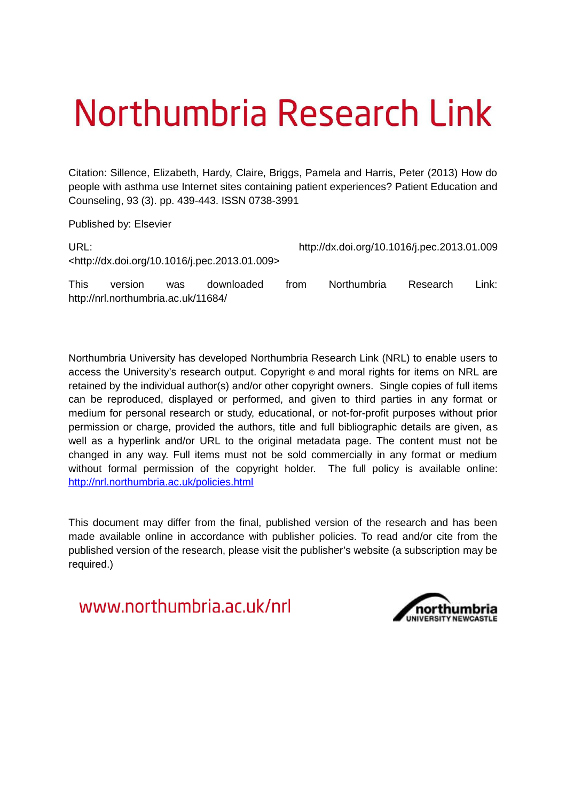# Northumbria Research Link

Citation: Sillence, Elizabeth, Hardy, Claire, Briggs, Pamela and Harris, Peter (2013) How do people with asthma use Internet sites containing patient experiences? Patient Education and Counseling, 93 (3). pp. 439-443. ISSN 0738-3991

Published by: Elsevier

| URL:        |                                     |            |                                                               |      | http://dx.doi.org/10.1016/j.pec.2013.01.009 |          |         |  |
|-------------|-------------------------------------|------------|---------------------------------------------------------------|------|---------------------------------------------|----------|---------|--|
|             |                                     |            | <http: 10.1016="" dx.doi.org="" j.pec.2013.01.009=""></http:> |      |                                             |          |         |  |
| <b>This</b> | version                             | <b>was</b> | downloaded                                                    | trom | <b>Northumbria</b>                          | Research | Link: . |  |
|             | http://nrl.northumbria.ac.uk/11684/ |            |                                                               |      |                                             |          |         |  |

Northumbria University has developed Northumbria Research Link (NRL) to enable users to access the University's research output. Copyright  $\circ$  and moral rights for items on NRL are retained by the individual author(s) and/or other copyright owners. Single copies of full items can be reproduced, displayed or performed, and given to third parties in any format or medium for personal research or study, educational, or not-for-profit purposes without prior permission or charge, provided the authors, title and full bibliographic details are given, as well as a hyperlink and/or URL to the original metadata page. The content must not be changed in any way. Full items must not be sold commercially in any format or medium without formal permission of the copyright holder. The full policy is available online: <http://nrl.northumbria.ac.uk/policies.html>

This document may differ from the final, published version of the research and has been made available online in accordance with publisher policies. To read and/or cite from the published version of the research, please visit the publisher's website (a subscription may be required.)

www.northumbria.ac.uk/nrl

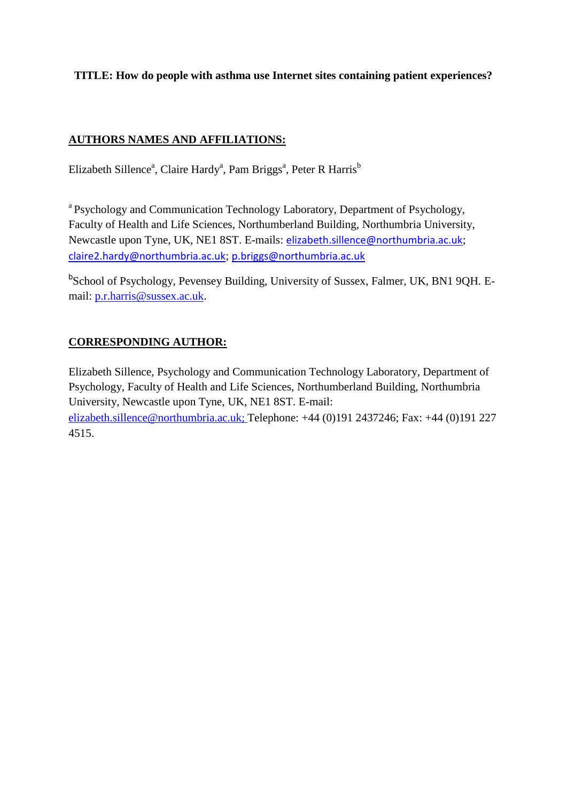# **TITLE: How do people with asthma use Internet sites containing patient experiences?**

# **AUTHORS NAMES AND AFFILIATIONS:**

Elizabeth Sillence<sup>a</sup>, Claire Hardy<sup>a</sup>, Pam Briggs<sup>a</sup>, Peter R Harris<sup>b</sup>

<sup>a</sup> Psychology and Communication Technology Laboratory, Department of Psychology, Faculty of Health and Life Sciences, Northumberland Building, Northumbria University, Newcastle upon Tyne, UK, NE1 8ST. E-mails: [elizabeth.sillence@northumbria.ac.uk](mailto:phoenix.mo@northumbria.ac.uk); [claire2.hardy@northumbria.ac.uk](mailto:claire2.hardy@northumbria.ac.uk); [p.briggs@northumbria.ac.uk](mailto:p.briggs@northumbria.ac.uk)

<sup>b</sup>School of Psychology, Pevensey Building, University of Sussex, Falmer, UK, BN1 9QH. Email: [p.r.harris@sussex.ac.uk.](mailto:p.r.harris@sussex.ac.uk)

# **CORRESPONDING AUTHOR:**

Elizabeth Sillence, Psychology and Communication Technology Laboratory, Department of Psychology, Faculty of Health and Life Sciences, Northumberland Building, Northumbria University, Newcastle upon Tyne, UK, NE1 8ST. E-mail: [elizabeth.sillence@northumbria.ac.uk](mailto:elizabeth.sillence@northumbria.ac.uk); Telephone: +44 (0)191 2437246; Fax: +44 (0)191 227 4515.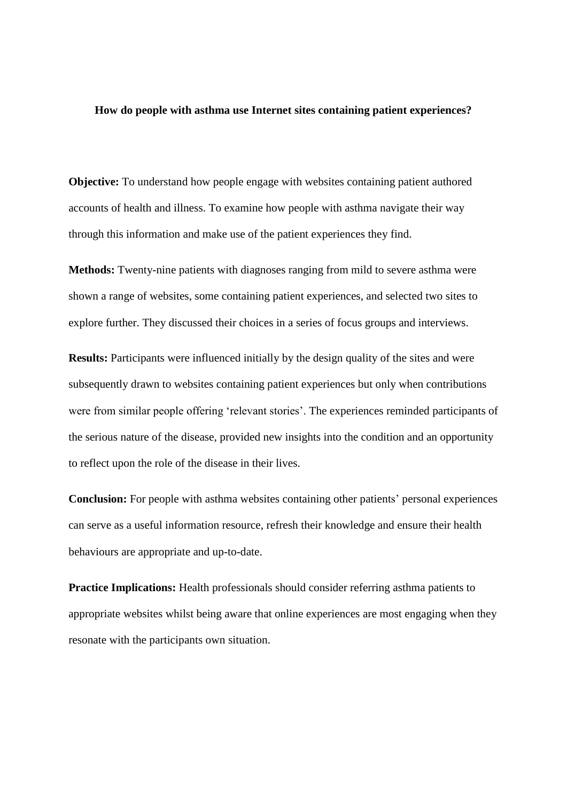## **How do people with asthma use Internet sites containing patient experiences?**

**Objective:** To understand how people engage with websites containing patient authored accounts of health and illness. To examine how people with asthma navigate their way through this information and make use of the patient experiences they find.

**Methods:** Twenty-nine patients with diagnoses ranging from mild to severe asthma were shown a range of websites, some containing patient experiences, and selected two sites to explore further. They discussed their choices in a series of focus groups and interviews.

**Results:** Participants were influenced initially by the design quality of the sites and were subsequently drawn to websites containing patient experiences but only when contributions were from similar people offering 'relevant stories'. The experiences reminded participants of the serious nature of the disease, provided new insights into the condition and an opportunity to reflect upon the role of the disease in their lives.

**Conclusion:** For people with asthma websites containing other patients' personal experiences can serve as a useful information resource, refresh their knowledge and ensure their health behaviours are appropriate and up-to-date.

**Practice Implications:** Health professionals should consider referring asthma patients to appropriate websites whilst being aware that online experiences are most engaging when they resonate with the participants own situation.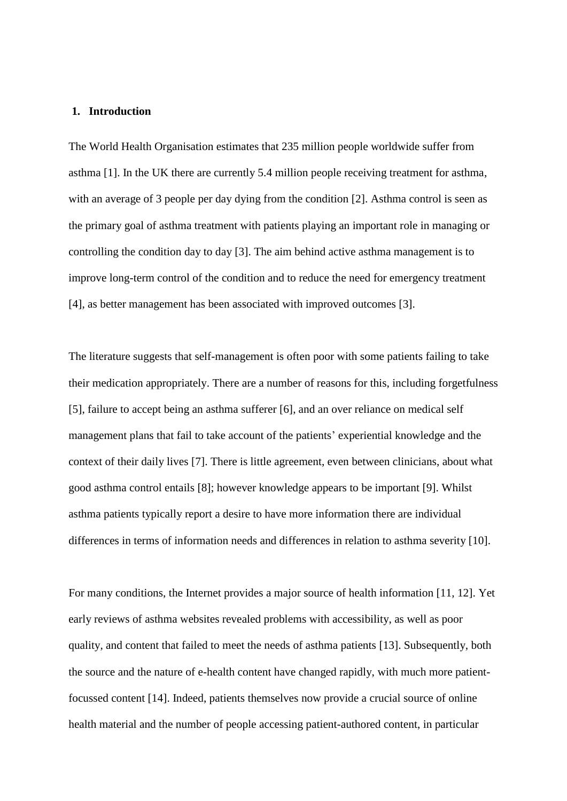## **1. Introduction**

The World Health Organisation estimates that 235 million people worldwide suffer from asthma [1]. In the UK there are currently 5.4 million people receiving treatment for asthma, with an average of 3 people per day dying from the condition [2]. Asthma control is seen as the primary goal of asthma treatment with patients playing an important role in managing or controlling the condition day to day [3]. The aim behind active asthma management is to improve long-term control of the condition and to reduce the need for emergency treatment [4], as better management has been associated with improved outcomes [3].

The literature suggests that self-management is often poor with some patients failing to take their medication appropriately. There are a number of reasons for this, including forgetfulness [5], failure to accept being an asthma sufferer [6], and an over reliance on medical self management plans that fail to take account of the patients' experiential knowledge and the context of their daily lives [7]. There is little agreement, even between clinicians, about what good asthma control entails [8]; however knowledge appears to be important [9]. Whilst asthma patients typically report a desire to have more information there are individual differences in terms of information needs and differences in relation to asthma severity [10].

For many conditions, the Internet provides a major source of health information [11, 12]. Yet early reviews of asthma websites revealed problems with accessibility, as well as poor quality, and content that failed to meet the needs of asthma patients [13]. Subsequently, both the source and the nature of e-health content have changed rapidly, with much more patientfocussed content [14]. Indeed, patients themselves now provide a crucial source of online health material and the number of people accessing patient-authored content, in particular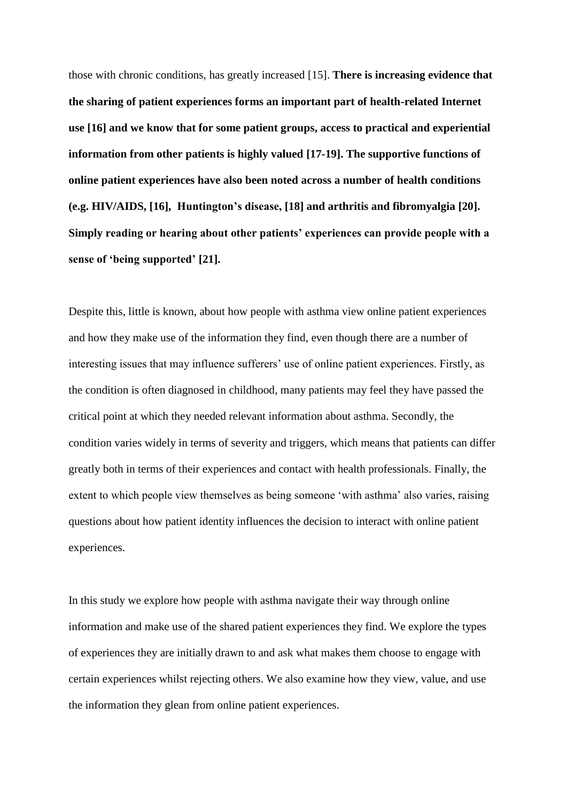those with chronic conditions, has greatly increased [15]. **There is increasing evidence that the sharing of patient experiences forms an important part of health-related Internet use [16] and we know that for some patient groups, access to practical and experiential information from other patients is highly valued [17-19]. The supportive functions of online patient experiences have also been noted across a number of health conditions (e.g. HIV/AIDS, [16], Huntington's disease, [18] and arthritis and fibromyalgia [20]. Simply reading or hearing about other patients' experiences can provide people with a sense of 'being supported' [21].**

Despite this, little is known, about how people with asthma view online patient experiences and how they make use of the information they find, even though there are a number of interesting issues that may influence sufferers' use of online patient experiences. Firstly, as the condition is often diagnosed in childhood, many patients may feel they have passed the critical point at which they needed relevant information about asthma. Secondly, the condition varies widely in terms of severity and triggers, which means that patients can differ greatly both in terms of their experiences and contact with health professionals. Finally, the extent to which people view themselves as being someone 'with asthma' also varies, raising questions about how patient identity influences the decision to interact with online patient experiences.

In this study we explore how people with asthma navigate their way through online information and make use of the shared patient experiences they find. We explore the types of experiences they are initially drawn to and ask what makes them choose to engage with certain experiences whilst rejecting others. We also examine how they view, value, and use the information they glean from online patient experiences.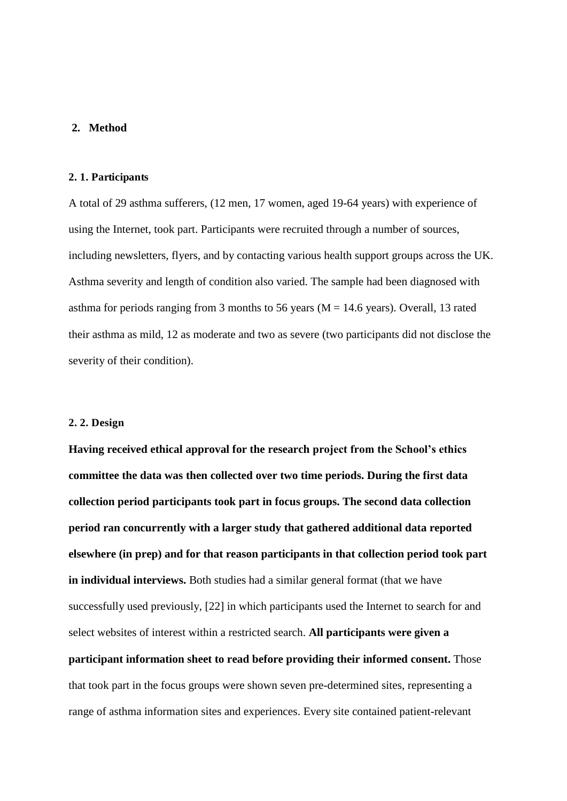## **2. Method**

### **2. 1. Participants**

A total of 29 asthma sufferers, (12 men, 17 women, aged 19-64 years) with experience of using the Internet, took part. Participants were recruited through a number of sources, including newsletters, flyers, and by contacting various health support groups across the UK. Asthma severity and length of condition also varied. The sample had been diagnosed with asthma for periods ranging from 3 months to 56 years ( $M = 14.6$  years). Overall, 13 rated their asthma as mild, 12 as moderate and two as severe (two participants did not disclose the severity of their condition).

## **2. 2. Design**

**Having received ethical approval for the research project from the School's ethics committee the data was then collected over two time periods. During the first data collection period participants took part in focus groups. The second data collection period ran concurrently with a larger study that gathered additional data reported elsewhere (in prep) and for that reason participants in that collection period took part in individual interviews.** Both studies had a similar general format (that we have successfully used previously, [22] in which participants used the Internet to search for and select websites of interest within a restricted search. **All participants were given a participant information sheet to read before providing their informed consent.** Those that took part in the focus groups were shown seven pre-determined sites, representing a range of asthma information sites and experiences. Every site contained patient-relevant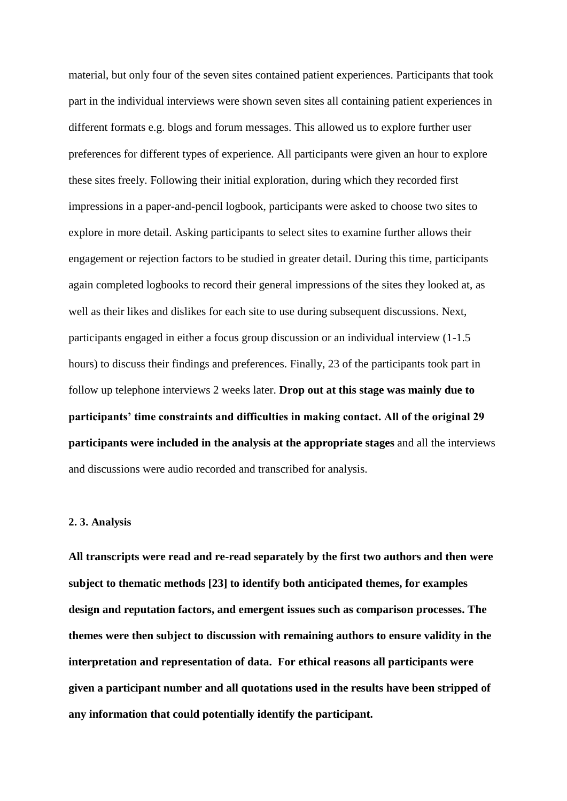material, but only four of the seven sites contained patient experiences. Participants that took part in the individual interviews were shown seven sites all containing patient experiences in different formats e.g. blogs and forum messages. This allowed us to explore further user preferences for different types of experience. All participants were given an hour to explore these sites freely. Following their initial exploration, during which they recorded first impressions in a paper-and-pencil logbook, participants were asked to choose two sites to explore in more detail. Asking participants to select sites to examine further allows their engagement or rejection factors to be studied in greater detail. During this time, participants again completed logbooks to record their general impressions of the sites they looked at, as well as their likes and dislikes for each site to use during subsequent discussions. Next, participants engaged in either a focus group discussion or an individual interview (1-1.5 hours) to discuss their findings and preferences. Finally, 23 of the participants took part in follow up telephone interviews 2 weeks later. **Drop out at this stage was mainly due to participants' time constraints and difficulties in making contact. All of the original 29 participants were included in the analysis at the appropriate stages** and all the interviews and discussions were audio recorded and transcribed for analysis.

#### **2. 3. Analysis**

**All transcripts were read and re-read separately by the first two authors and then were subject to thematic methods [23] to identify both anticipated themes, for examples design and reputation factors, and emergent issues such as comparison processes. The themes were then subject to discussion with remaining authors to ensure validity in the interpretation and representation of data. For ethical reasons all participants were given a participant number and all quotations used in the results have been stripped of any information that could potentially identify the participant.**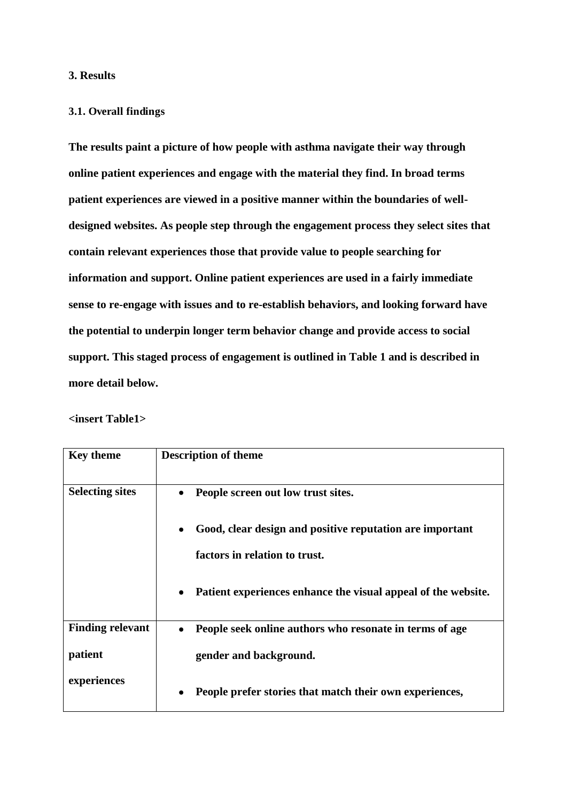## **3. Results**

## **3.1. Overall findings**

**The results paint a picture of how people with asthma navigate their way through online patient experiences and engage with the material they find. In broad terms patient experiences are viewed in a positive manner within the boundaries of welldesigned websites. As people step through the engagement process they select sites that contain relevant experiences those that provide value to people searching for information and support. Online patient experiences are used in a fairly immediate sense to re-engage with issues and to re-establish behaviors, and looking forward have the potential to underpin longer term behavior change and provide access to social support. This staged process of engagement is outlined in Table 1 and is described in more detail below.** 

**<insert Table1>** 

| <b>Key theme</b>        | <b>Description of theme</b>                                                |  |  |  |  |
|-------------------------|----------------------------------------------------------------------------|--|--|--|--|
|                         |                                                                            |  |  |  |  |
| <b>Selecting sites</b>  | People screen out low trust sites.<br>$\bullet$                            |  |  |  |  |
|                         |                                                                            |  |  |  |  |
|                         | Good, clear design and positive reputation are important<br>٠              |  |  |  |  |
|                         | factors in relation to trust.                                              |  |  |  |  |
|                         |                                                                            |  |  |  |  |
|                         | Patient experiences enhance the visual appeal of the website.<br>$\bullet$ |  |  |  |  |
|                         |                                                                            |  |  |  |  |
| <b>Finding relevant</b> | People seek online authors who resonate in terms of age<br>$\bullet$       |  |  |  |  |
| patient                 | gender and background.                                                     |  |  |  |  |
|                         |                                                                            |  |  |  |  |
| experiences             | People prefer stories that match their own experiences,<br>٠               |  |  |  |  |
|                         |                                                                            |  |  |  |  |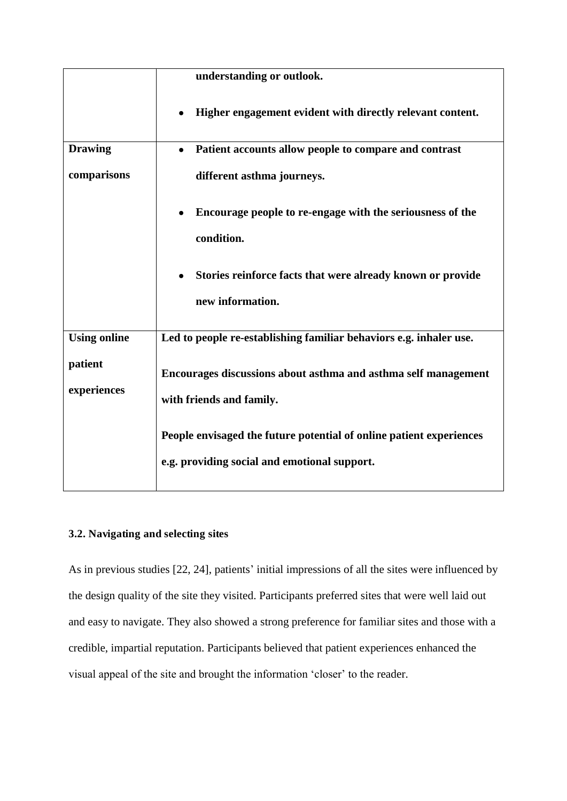| understanding or outlook.                                               |  |  |  |  |
|-------------------------------------------------------------------------|--|--|--|--|
| Higher engagement evident with directly relevant content.               |  |  |  |  |
| Patient accounts allow people to compare and contrast<br>$\bullet$      |  |  |  |  |
| different asthma journeys.                                              |  |  |  |  |
| Encourage people to re-engage with the seriousness of the<br>$\bullet$  |  |  |  |  |
| condition.                                                              |  |  |  |  |
| Stories reinforce facts that were already known or provide<br>$\bullet$ |  |  |  |  |
| new information.                                                        |  |  |  |  |
| Led to people re-establishing familiar behaviors e.g. inhaler use.      |  |  |  |  |
| Encourages discussions about asthma and asthma self management          |  |  |  |  |
| with friends and family.                                                |  |  |  |  |
| People envisaged the future potential of online patient experiences     |  |  |  |  |
| e.g. providing social and emotional support.                            |  |  |  |  |
|                                                                         |  |  |  |  |

# **3.2. Navigating and selecting sites**

As in previous studies [22, 24], patients' initial impressions of all the sites were influenced by the design quality of the site they visited. Participants preferred sites that were well laid out and easy to navigate. They also showed a strong preference for familiar sites and those with a credible, impartial reputation. Participants believed that patient experiences enhanced the visual appeal of the site and brought the information 'closer' to the reader.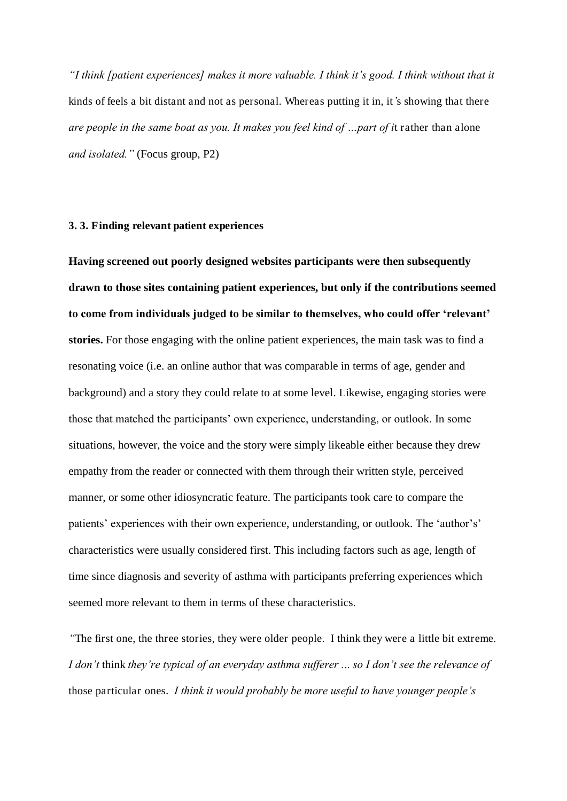*"I think [patient experiences] makes it more valuable. I think it's good. I think without that it*  kinds of feels a bit distant and not as personal. Whereas putting it in, it*'*s showing that there *are people in the same boat as you. It makes you feel kind of …part of i*t rather than alone *and isolated."* (Focus group, P2)

## **3. 3. Finding relevant patient experiences**

**Having screened out poorly designed websites participants were then subsequently drawn to those sites containing patient experiences, but only if the contributions seemed to come from individuals judged to be similar to themselves, who could offer 'relevant' stories.** For those engaging with the online patient experiences, the main task was to find a resonating voice (i.e. an online author that was comparable in terms of age, gender and background) and a story they could relate to at some level. Likewise, engaging stories were those that matched the participants' own experience, understanding, or outlook. In some situations, however, the voice and the story were simply likeable either because they drew empathy from the reader or connected with them through their written style, perceived manner, or some other idiosyncratic feature. The participants took care to compare the patients' experiences with their own experience, understanding, or outlook. The 'author's' characteristics were usually considered first. This including factors such as age, length of time since diagnosis and severity of asthma with participants preferring experiences which seemed more relevant to them in terms of these characteristics.

*"*The first one, the three stories, they were older people. I think they were a little bit extreme. *I don't* think *they're typical of an everyday asthma sufferer .*.. *so I don't see the relevance of*  those particular ones. *I think it would probably be more useful to have younger people's*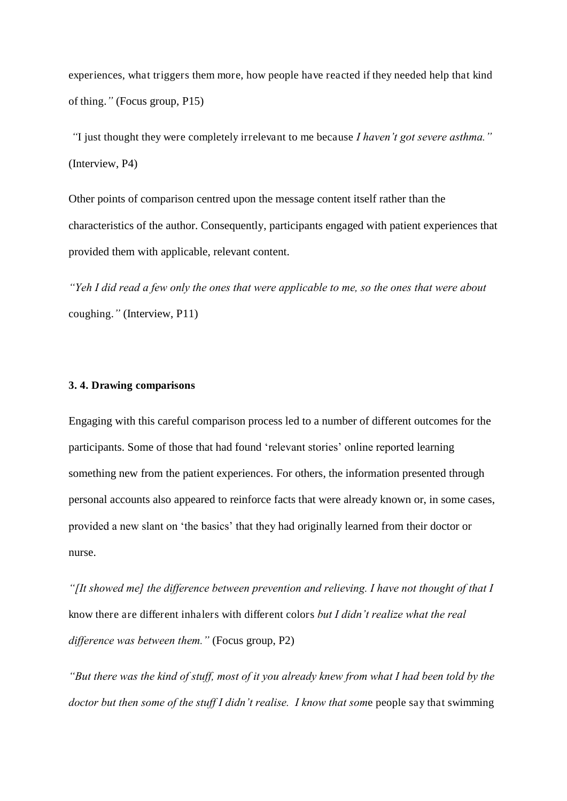experiences, what triggers them more, how people have reacted if they needed help that kind of thing.*"* (Focus group, P15)

*"*I just thought they were completely irrelevant to me because *I haven't got severe asthma."*  (Interview, P4)

Other points of comparison centred upon the message content itself rather than the characteristics of the author. Consequently, participants engaged with patient experiences that provided them with applicable, relevant content.

*"Yeh I did read a few only the ones that were applicable to me, so the ones that were about*  coughing.*"* (Interview, P11)

## **3. 4. Drawing comparisons**

Engaging with this careful comparison process led to a number of different outcomes for the participants. Some of those that had found 'relevant stories' online reported learning something new from the patient experiences. For others, the information presented through personal accounts also appeared to reinforce facts that were already known or, in some cases, provided a new slant on 'the basics' that they had originally learned from their doctor or nurse.

*"[It showed me] the difference between prevention and relieving. I have not thought of that I*  know there are different inhalers with different colors *but I didn't realize what the real difference was between them."* (Focus group, P2)

*"But there was the kind of stuff, most of it you already knew from what I had been told by the doctor but then some of the stuff I didn't realise. I know that som*e people say that swimming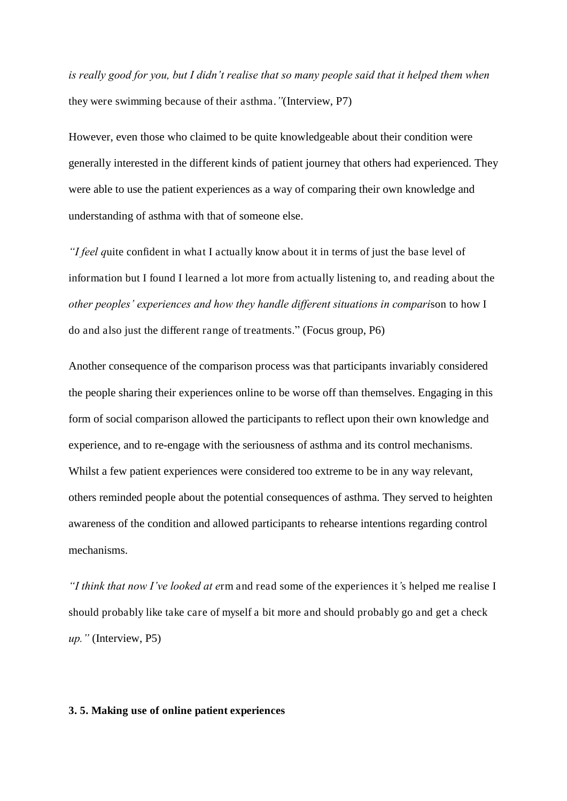*is really good for you, but I didn't realise that so many people said that it helped them when*  they were swimming because of their asthma.*"*(Interview, P7)

However, even those who claimed to be quite knowledgeable about their condition were generally interested in the different kinds of patient journey that others had experienced. They were able to use the patient experiences as a way of comparing their own knowledge and understanding of asthma with that of someone else.

*"I feel q*uite confident in what I actually know about it in terms of just the base level of information but I found I learned a lot more from actually listening to, and reading about the *other peoples' experiences and how they handle different situations in compari*son to how I do and also just the different range of treatments." (Focus group, P6)

Another consequence of the comparison process was that participants invariably considered the people sharing their experiences online to be worse off than themselves. Engaging in this form of social comparison allowed the participants to reflect upon their own knowledge and experience, and to re-engage with the seriousness of asthma and its control mechanisms. Whilst a few patient experiences were considered too extreme to be in any way relevant, others reminded people about the potential consequences of asthma. They served to heighten awareness of the condition and allowed participants to rehearse intentions regarding control mechanisms.

*"I think that now I've looked at e*rm and read some of the experiences it*'*s helped me realise I should probably like take care of myself a bit more and should probably go and get a check *up."* (Interview, P5)

#### **3. 5. Making use of online patient experiences**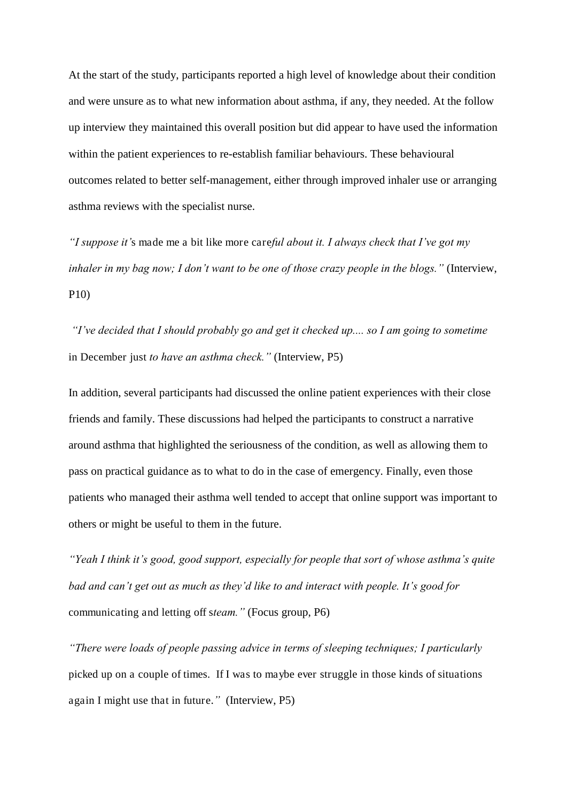At the start of the study, participants reported a high level of knowledge about their condition and were unsure as to what new information about asthma, if any, they needed. At the follow up interview they maintained this overall position but did appear to have used the information within the patient experiences to re-establish familiar behaviours. These behavioural outcomes related to better self-management, either through improved inhaler use or arranging asthma reviews with the specialist nurse.

*"I suppose it'*s made me a bit like more care*ful about it. I always check that I've got my inhaler in my bag now; I don't want to be one of those crazy people in the blogs."* (Interview, P10)

*"I've decided that I should probably go and get it checked up.... so I am going to sometime*  in December just *to have an asthma check."* (Interview, P5)

In addition, several participants had discussed the online patient experiences with their close friends and family. These discussions had helped the participants to construct a narrative around asthma that highlighted the seriousness of the condition, as well as allowing them to pass on practical guidance as to what to do in the case of emergency. Finally, even those patients who managed their asthma well tended to accept that online support was important to others or might be useful to them in the future.

*"Yeah I think it's good, good support, especially for people that sort of whose asthma's quite bad and can't get out as much as they'd like to and interact with people. It's good for*  communicating and letting off s*team."* (Focus group, P6)

*"There were loads of people passing advice in terms of sleeping techniques; I particularly*  picked up on a couple of times. If I was to maybe ever struggle in those kinds of situations again I might use that in future.*"* (Interview, P5)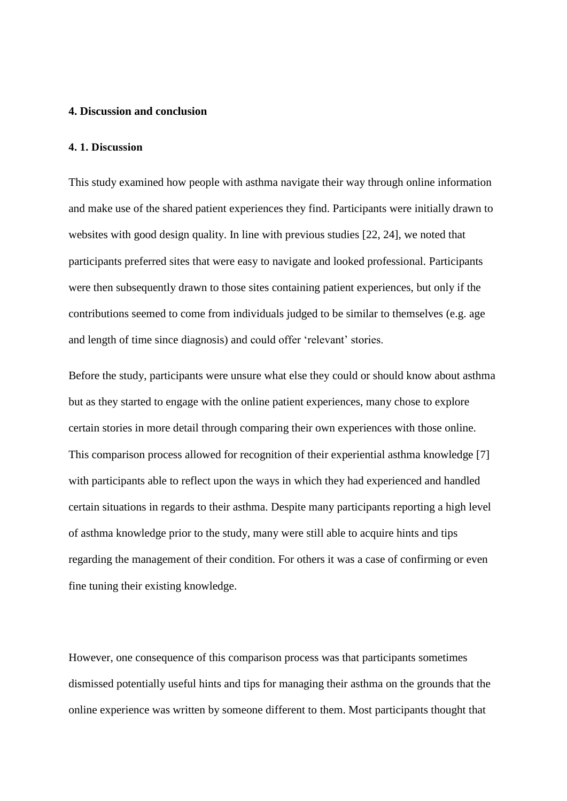## **4. Discussion and conclusion**

#### **4. 1. Discussion**

This study examined how people with asthma navigate their way through online information and make use of the shared patient experiences they find. Participants were initially drawn to websites with good design quality. In line with previous studies [22, 24], we noted that participants preferred sites that were easy to navigate and looked professional. Participants were then subsequently drawn to those sites containing patient experiences, but only if the contributions seemed to come from individuals judged to be similar to themselves (e.g. age and length of time since diagnosis) and could offer 'relevant' stories.

Before the study, participants were unsure what else they could or should know about asthma but as they started to engage with the online patient experiences, many chose to explore certain stories in more detail through comparing their own experiences with those online. This comparison process allowed for recognition of their experiential asthma knowledge [7] with participants able to reflect upon the ways in which they had experienced and handled certain situations in regards to their asthma. Despite many participants reporting a high level of asthma knowledge prior to the study, many were still able to acquire hints and tips regarding the management of their condition. For others it was a case of confirming or even fine tuning their existing knowledge.

However, one consequence of this comparison process was that participants sometimes dismissed potentially useful hints and tips for managing their asthma on the grounds that the online experience was written by someone different to them. Most participants thought that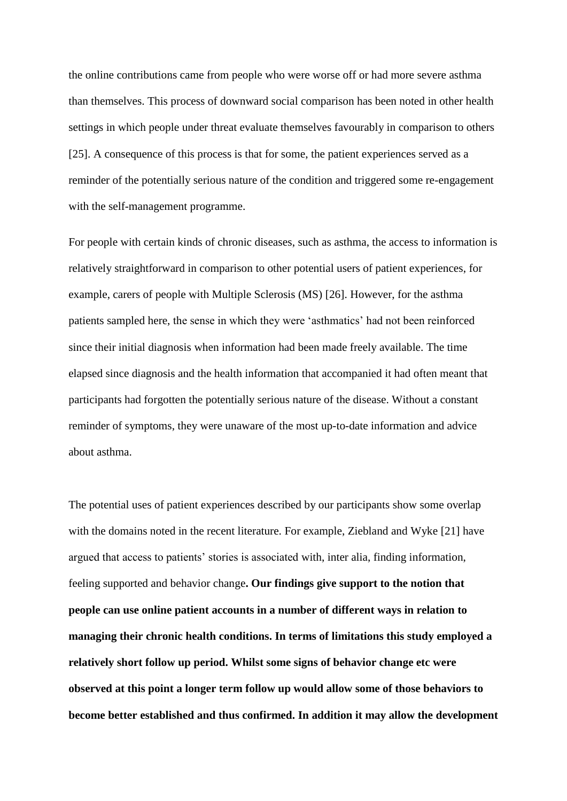the online contributions came from people who were worse off or had more severe asthma than themselves. This process of downward social comparison has been noted in other health settings in which people under threat evaluate themselves favourably in comparison to others [25]. A consequence of this process is that for some, the patient experiences served as a reminder of the potentially serious nature of the condition and triggered some re-engagement with the self-management programme.

For people with certain kinds of chronic diseases, such as asthma, the access to information is relatively straightforward in comparison to other potential users of patient experiences, for example, carers of people with Multiple Sclerosis (MS) [26]. However, for the asthma patients sampled here, the sense in which they were 'asthmatics' had not been reinforced since their initial diagnosis when information had been made freely available. The time elapsed since diagnosis and the health information that accompanied it had often meant that participants had forgotten the potentially serious nature of the disease. Without a constant reminder of symptoms, they were unaware of the most up-to-date information and advice about asthma.

The potential uses of patient experiences described by our participants show some overlap with the domains noted in the recent literature. For example, Ziebland and Wyke [21] have argued that access to patients' stories is associated with, inter alia, finding information, feeling supported and behavior change**. Our findings give support to the notion that people can use online patient accounts in a number of different ways in relation to managing their chronic health conditions. In terms of limitations this study employed a relatively short follow up period. Whilst some signs of behavior change etc were observed at this point a longer term follow up would allow some of those behaviors to become better established and thus confirmed. In addition it may allow the development**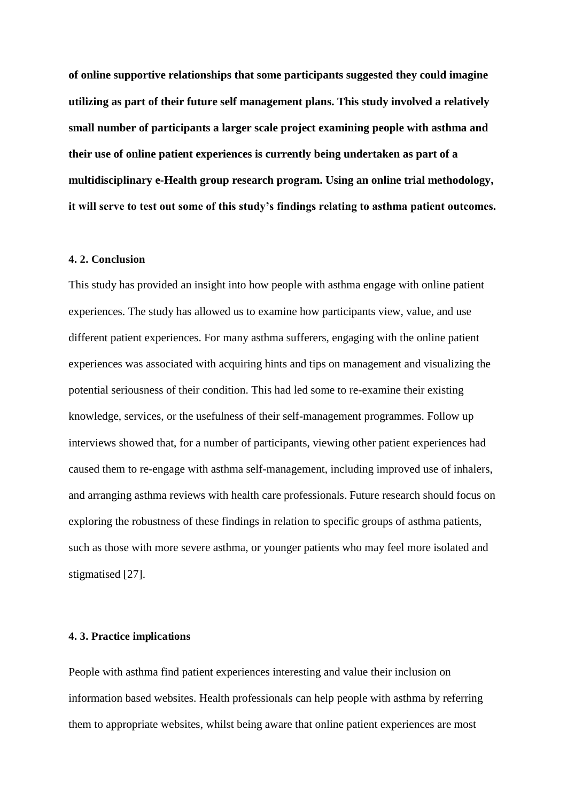**of online supportive relationships that some participants suggested they could imagine utilizing as part of their future self management plans. This study involved a relatively small number of participants a larger scale project examining people with asthma and their use of online patient experiences is currently being undertaken as part of a multidisciplinary e-Health group research program. Using an online trial methodology, it will serve to test out some of this study's findings relating to asthma patient outcomes.**

#### **4. 2. Conclusion**

This study has provided an insight into how people with asthma engage with online patient experiences. The study has allowed us to examine how participants view, value, and use different patient experiences. For many asthma sufferers, engaging with the online patient experiences was associated with acquiring hints and tips on management and visualizing the potential seriousness of their condition. This had led some to re-examine their existing knowledge, services, or the usefulness of their self-management programmes. Follow up interviews showed that, for a number of participants, viewing other patient experiences had caused them to re-engage with asthma self-management, including improved use of inhalers, and arranging asthma reviews with health care professionals. Future research should focus on exploring the robustness of these findings in relation to specific groups of asthma patients, such as those with more severe asthma, or younger patients who may feel more isolated and stigmatised [27].

## **4. 3. Practice implications**

People with asthma find patient experiences interesting and value their inclusion on information based websites. Health professionals can help people with asthma by referring them to appropriate websites, whilst being aware that online patient experiences are most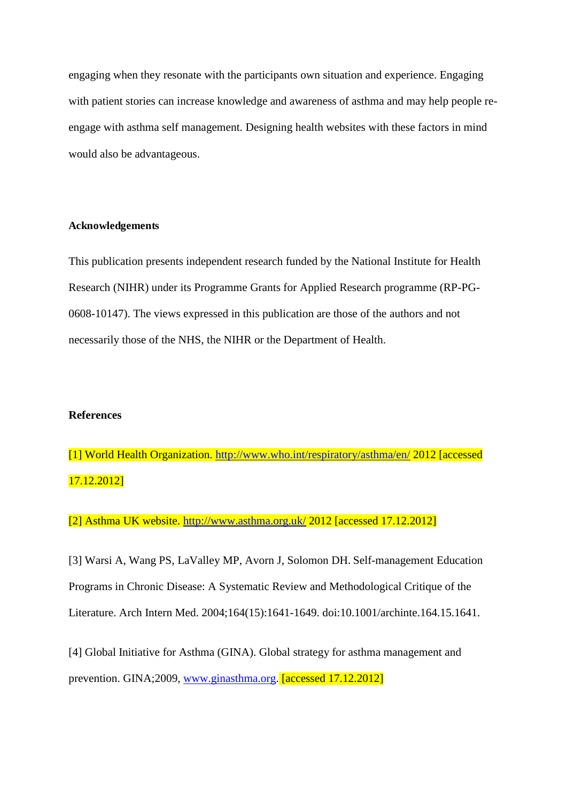engaging when they resonate with the participants own situation and experience. Engaging with patient stories can increase knowledge and awareness of asthma and may help people reengage with asthma self management. Designing health websites with these factors in mind would also be advantageous.

## **Acknowledgements**

This publication presents independent research funded by the National Institute for Health Research (NIHR) under its Programme Grants for Applied Research programme (RP-PG-0608-10147). The views expressed in this publication are those of the authors and not necessarily those of the NHS, the NIHR or the Department of Health.

## **References**

[1] World Health Organization.<http://www.who.int/respiratory/asthma/en/>2012 [accessed 17.12.2012]

[2] Asthma UK website.<http://www.asthma.org.uk/>2012 [accessed 17.12.2012]

[3] Warsi A, Wang PS, LaValley MP, Avorn J, Solomon DH. Self-management Education Programs in Chronic Disease: A Systematic Review and Methodological Critique of the Literature. Arch Intern Med. 2004;164(15):1641-1649. doi:10.1001/archinte.164.15.1641.

[4] Global Initiative for Asthma (GINA). Global strategy for asthma management and prevention. GINA;2009, [www.ginasthma.org.](http://www.ginasthma.org/) [accessed 17.12.2012]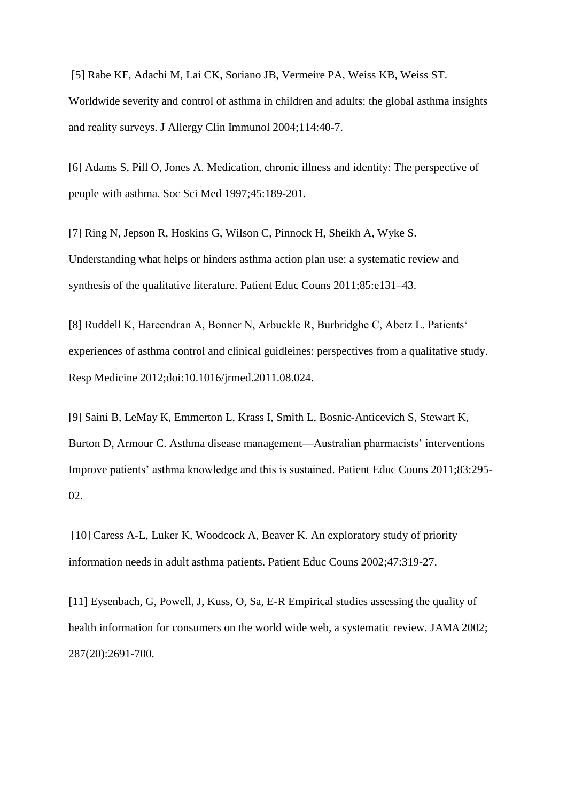[5] Rabe KF, Adachi M, Lai CK, Soriano JB, Vermeire PA, Weiss KB, Weiss ST. Worldwide severity and control of asthma in children and adults: the global asthma insights and reality surveys. J Allergy Clin Immunol 2004;114:40-7.

[6] Adams S, Pill O, Jones A. Medication, chronic illness and identity: The perspective of people with asthma. Soc Sci Med 1997;45:189-201.

[7] Ring N, Jepson R, Hoskins G, Wilson C, Pinnock H, Sheikh A, Wyke S. Understanding what helps or hinders asthma action plan use: a systematic review and synthesis of the qualitative literature. Patient Educ Couns 2011;85:e131–43.

[8] Ruddell K, Hareendran A, Bonner N, Arbuckle R, Burbridghe C, Abetz L. Patients' experiences of asthma control and clinical guidleines: perspectives from a qualitative study. Resp Medicine 2012;doi:10.1016/jrmed.2011.08.024.

[9] Saini B, LeMay K, Emmerton L, Krass I, Smith L, Bosnic-Anticevich S, Stewart K, Burton D, Armour C. Asthma disease management—Australian pharmacists' interventions Improve patients' asthma knowledge and this is sustained. Patient Educ Couns 2011;83:295- 02.

[10] Caress A-L, Luker K, Woodcock A, Beaver K. An exploratory study of priority information needs in adult asthma patients. Patient Educ Couns 2002;47:319-27.

[11] Eysenbach, G, Powell, J, Kuss, O, Sa, E-R Empirical studies assessing the quality of health information for consumers on the world wide web, a systematic review. JAMA 2002; 287(20):2691-700.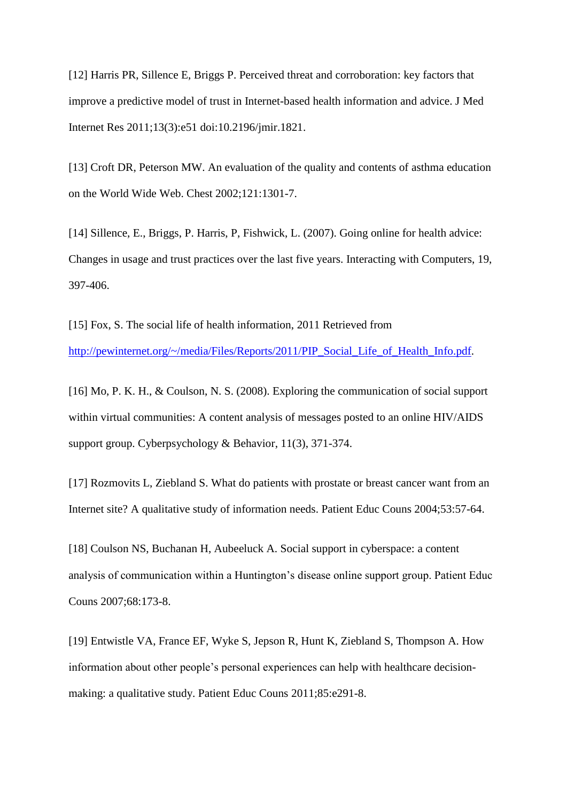[12] Harris PR, Sillence E, Briggs P. Perceived threat and corroboration: key factors that improve a predictive model of trust in Internet-based health information and advice. J Med Internet Res 2011;13(3):e51 doi:10.2196/jmir.1821.

[13] Croft DR, Peterson MW. An evaluation of the quality and contents of asthma education on the World Wide Web. Chest 2002;121:1301-7.

[14] Sillence, E., Briggs, P. Harris, P, Fishwick, L. (2007). Going online for health advice: Changes in usage and trust practices over the last five years. Interacting with Computers, 19, 397-406.

[15] Fox, S. The social life of health information, 2011 Retrieved from [http://pewinternet.org/~/media/Files/Reports/2011/PIP\\_Social\\_Life\\_of\\_Health\\_Info.pdf.](http://pewinternet.org/~/media/Files/Reports/2011/PIP_Social_Life_of_Health_Info.pdf)

[16] Mo, P. K. H., & Coulson, N. S. (2008). Exploring the communication of social support within virtual communities: A content analysis of messages posted to an online HIV/AIDS support group. Cyberpsychology & Behavior, 11(3), 371-374.

[17] Rozmovits L, Ziebland S. What do patients with prostate or breast cancer want from an Internet site? A qualitative study of information needs. Patient Educ Couns 2004;53:57-64.

[18] Coulson NS, Buchanan H, Aubeeluck A. Social support in cyberspace: a content analysis of communication within a Huntington's disease online support group. Patient Educ Couns 2007;68:173-8.

[19] Entwistle VA, France EF, Wyke S, Jepson R, Hunt K, Ziebland S, Thompson A. How information about other people's personal experiences can help with healthcare decisionmaking: a qualitative study. Patient Educ Couns 2011;85:e291-8.